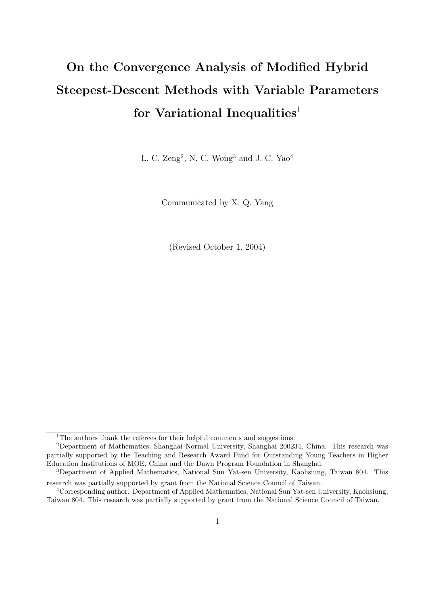# On the Convergence Analysis of Modified Hybrid Steepest-Descent Methods with Variable Parameters for Variational Inequalities<sup>1</sup>

L. C.  $\text{Zeng}^2$ , N. C. Wong<sup>3</sup> and J. C. Yao<sup>4</sup>

Communicated by X. Q. Yang

(Revised October 1, 2004)

<sup>&</sup>lt;sup>1</sup>The authors thank the referees for their helpful comments and suggestions.

<sup>2</sup>Department of Mathematics, Shanghai Normal University, Shanghai 200234, China. This research was partially supported by the Teaching and Research Award Fund for Outstanding Young Teachers in Higher Education Institutions of MOE, China and the Dawn Program Foundation in Shanghai.

<sup>3</sup>Department of Applied Mathematics, National Sun Yat-sen University, Kaohsiung, Taiwan 804. This research was partially supported by grant from the National Science Council of Taiwan.

<sup>4</sup>Corresponding author. Department of Applied Mathematics, National Sun Yat-sen University, Kaohsiung, Taiwan 804. This research was partially supported by grant from the National Science Council of Taiwan.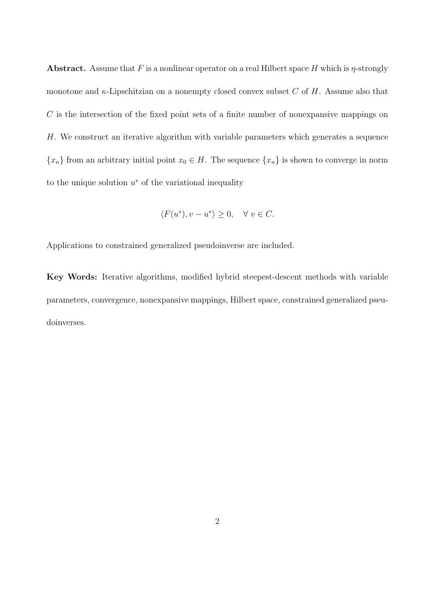**Abstract.** Assume that F is a nonlinear operator on a real Hilbert space H which is  $\eta$ -strongly monotone and  $\kappa$ -Lipschitzian on a nonempty closed convex subset C of H. Assume also that  $C$  is the intersection of the fixed point sets of a finite number of nonexpansive mappings on H. We construct an iterative algorithm with variable parameters which generates a sequence  ${x_n}$  from an arbitrary initial point  $x_0 \in H$ . The sequence  ${x_n}$  is shown to converge in norm to the unique solution  $u^*$  of the variational inequality

$$
\langle F(u^*), v - u^* \rangle \ge 0, \quad \forall \ v \in C.
$$

Applications to constrained generalized pseudoinverse are included.

Key Words: Iterative algorithms, modified hybrid steepest-descent methods with variable parameters, convergence, nonexpansive mappings, Hilbert space, constrained generalized pseudoinverses.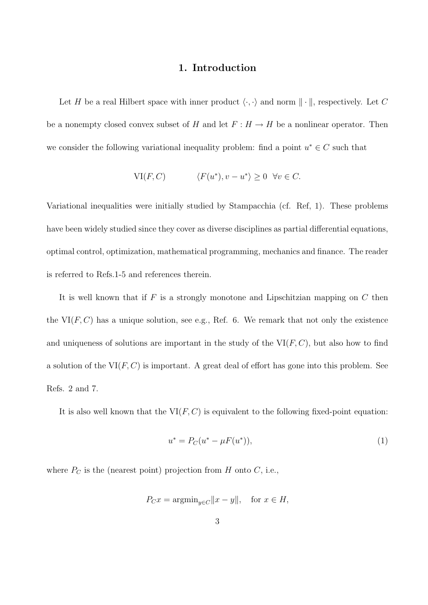### 1. Introduction

Let H be a real Hilbert space with inner product  $\langle \cdot, \cdot \rangle$  and norm  $\|\cdot\|$ , respectively. Let C be a nonempty closed convex subset of H and let  $F : H \to H$  be a nonlinear operator. Then we consider the following variational inequality problem: find a point  $u^* \in C$  such that

$$
\text{VI}(F, C) \qquad \langle F(u^*), v - u^* \rangle \ge 0 \quad \forall v \in C.
$$

Variational inequalities were initially studied by Stampacchia (cf. Ref, 1). These problems have been widely studied since they cover as diverse disciplines as partial differential equations, optimal control, optimization, mathematical programming, mechanics and finance. The reader is referred to Refs.1-5 and references therein.

It is well known that if  $F$  is a strongly monotone and Lipschitzian mapping on  $C$  then the  $VI(F, C)$  has a unique solution, see e.g., Ref. 6. We remark that not only the existence and uniqueness of solutions are important in the study of the  $VI(F, C)$ , but also how to find a solution of the  $VI(F, C)$  is important. A great deal of effort has gone into this problem. See Refs. 2 and 7.

It is also well known that the  $VI(F, C)$  is equivalent to the following fixed-point equation:

$$
u^* = P_C(u^* - \mu F(u^*)), \tag{1}
$$

where  $P_C$  is the (nearest point) projection from H onto C, i.e.,

$$
P_C x = \operatorname{argmin}_{y \in C} ||x - y||, \quad \text{for } x \in H,
$$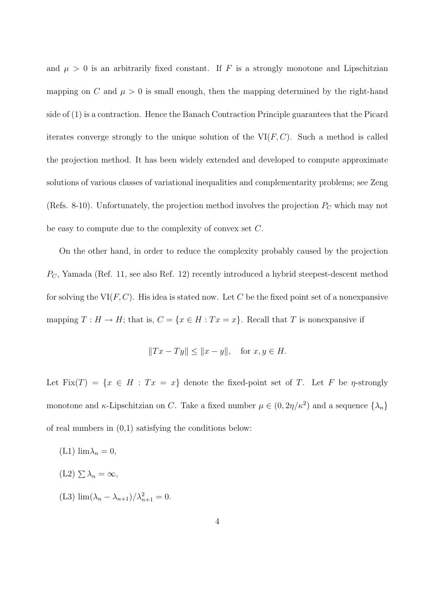and  $\mu > 0$  is an arbitrarily fixed constant. If F is a strongly monotone and Lipschitzian mapping on C and  $\mu > 0$  is small enough, then the mapping determined by the right-hand side of (1) is a contraction. Hence the Banach Contraction Principle guarantees that the Picard iterates converge strongly to the unique solution of the  $VI(F, C)$ . Such a method is called the projection method. It has been widely extended and developed to compute approximate solutions of various classes of variational inequalities and complementarity problems; see Zeng (Refs. 8-10). Unfortunately, the projection method involves the projection  $P<sub>C</sub>$  which may not be easy to compute due to the complexity of convex set C.

On the other hand, in order to reduce the complexity probably caused by the projection  $P_{\mathcal{C}}$ , Yamada (Ref. 11, see also Ref. 12) recently introduced a hybrid steepest-descent method for solving the  $VI(F, C)$ . His idea is stated now. Let C be the fixed point set of a nonexpansive mapping  $T : H \to H$ ; that is,  $C = \{x \in H : Tx = x\}$ . Recall that T is nonexpansive if

$$
||Tx - Ty|| \le ||x - y||, \quad \text{for } x, y \in H.
$$

Let Fix $(T) = \{x \in H : Tx = x\}$  denote the fixed-point set of T. Let F be *n*-strongly monotone and  $\kappa$ -Lipschitzian on C. Take a fixed number  $\mu \in (0, 2\eta/\kappa^2)$  and a sequence  $\{\lambda_n\}$ of real numbers in (0,1) satisfying the conditions below:

(L1)  $\lim_{n \to \infty} \lambda_n = 0$ ,  $(L2) \sum \lambda_n = \infty$ , (L3)  $\lim_{n \to \infty} (\lambda_n - \lambda_{n+1})/\lambda_{n+1}^2 = 0.$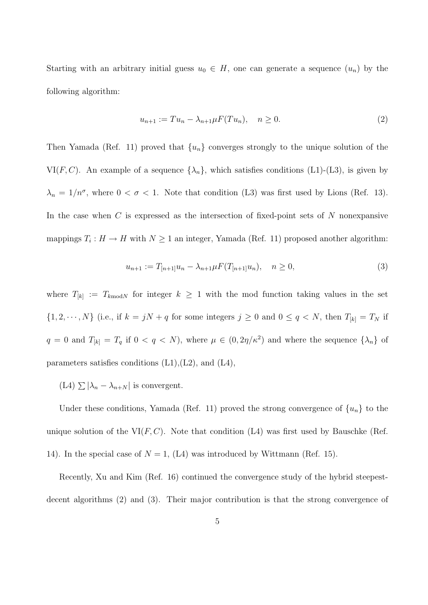Starting with an arbitrary initial guess  $u_0 \in H$ , one can generate a sequence  $(u_n)$  by the following algorithm:

$$
u_{n+1} := Tu_n - \lambda_{n+1} \mu F(Tu_n), \quad n \ge 0.
$$
\n(2)

Then Yamada (Ref. 11) proved that  $\{u_n\}$  converges strongly to the unique solution of the VI(F, C). An example of a sequence  $\{\lambda_n\}$ , which satisfies conditions (L1)-(L3), is given by  $\lambda_n = 1/n^{\sigma}$ , where  $0 < \sigma < 1$ . Note that condition (L3) was first used by Lions (Ref. 13). In the case when  $C$  is expressed as the intersection of fixed-point sets of  $N$  nonexpansive mappings  $T_i: H \to H$  with  $N \geq 1$  an integer, Yamada (Ref. 11) proposed another algorithm:

$$
u_{n+1} := T_{[n+1]}u_n - \lambda_{n+1}\mu F(T_{[n+1]}u_n), \quad n \ge 0,
$$
\n(3)

where  $T_{[k]} := T_{k \text{ mod } N}$  for integer  $k \geq 1$  with the mod function taking values in the set  $\{1, 2, \dots, N\}$  (i.e., if  $k = jN + q$  for some integers  $j \ge 0$  and  $0 \le q \le N$ , then  $T_{[k]} = T_N$  if  $q = 0$  and  $T_{[k]} = T_q$  if  $0 < q < N$ , where  $\mu \in (0, 2\eta/\kappa^2)$  and where the sequence  $\{\lambda_n\}$  of parameters satisfies conditions (L1),(L2), and (L4),

 $(L4) \sum |\lambda_n - \lambda_{n+N}|$  is convergent.

Under these conditions, Yamada (Ref. 11) proved the strong convergence of  $\{u_n\}$  to the unique solution of the  $VI(F, C)$ . Note that condition (L4) was first used by Bauschke (Ref. 14). In the special case of  $N = 1$ , (L4) was introduced by Wittmann (Ref. 15).

Recently, Xu and Kim (Ref. 16) continued the convergence study of the hybrid steepestdecent algorithms (2) and (3). Their major contribution is that the strong convergence of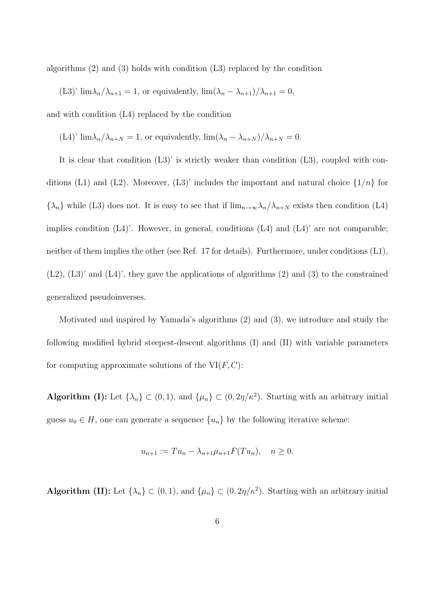algorithms (2) and (3) holds with condition (L3) replaced by the condition

(L3)'  $\lim_{n \to \infty} \frac{\lambda_{n+1}}{n+1} = 1$ , or equivalently,  $\lim_{n \to \infty} \frac{\lambda_{n+1}}{n+1} = 0$ ,

and with condition (L4) replaced by the condition

(L4)'  $\lim_{n \to \infty} \frac{\lambda_{n+N}}{n} = 1$ , or equivalently,  $\lim_{n \to \infty} \frac{\lambda_{n+N}}{n} = 0$ .

It is clear that condition (L3)' is strictly weaker than condition (L3), coupled with conditions (L1) and (L2). Moreover, (L3)' includes the important and natural choice  $\{1/n\}$  for  ${\lambda_n}$  while (L3) does not. It is easy to see that if  $\lim_{n\to\infty} \lambda_n/\lambda_{n+N}$  exists then condition (L4) implies condition  $(L4)$ . However, in general, conditions  $(L4)$  and  $(L4)$  are not comparable; neither of them implies the other (see Ref. 17 for details). Furthermore, under conditions (L1),  $(L2)$ ,  $(L3)$ ' and  $(L4)$ ', they gave the applications of algorithms  $(2)$  and  $(3)$  to the constrained generalized pseudoinverses.

Motivated and inspired by Yamada's algorithms (2) and (3), we introduce and study the following modified hybrid steepest-descent algorithms (I) and (II) with variable parameters for computing approximate solutions of the  $VI(F, C)$ :

Algorithm (I): Let  $\{\lambda_n\} \subset (0,1)$ , and  $\{\mu_n\} \subset (0,2\eta/\kappa^2)$ . Starting with an arbitrary initial guess  $u_0 \in H$ , one can generate a sequence  $\{u_n\}$  by the following iterative scheme:

$$
u_{n+1} := Tu_n - \lambda_{n+1} \mu_{n+1} F(Tu_n), \quad n \ge 0.
$$

Algorithm (II): Let  $\{\lambda_n\} \subset (0,1)$ , and  $\{\mu_n\} \subset (0,2\eta/\kappa^2)$ . Starting with an arbitrary initial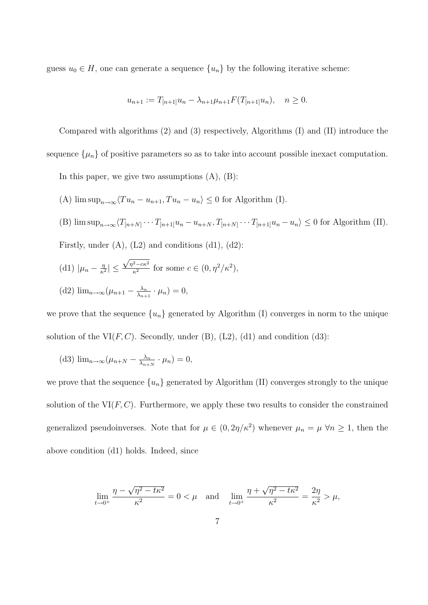guess  $u_0 \in H$ , one can generate a sequence  $\{u_n\}$  by the following iterative scheme:

$$
u_{n+1} := T_{[n+1]}u_n - \lambda_{n+1}\mu_{n+1}F(T_{[n+1]}u_n), \quad n \ge 0.
$$

Compared with algorithms (2) and (3) respectively, Algorithms (I) and (II) introduce the sequence  $\{\mu_n\}$  of positive parameters so as to take into account possible inexact computation.

In this paper, we give two assumptions  $(A)$ ,  $(B)$ :

- (A)  $\limsup_{n\to\infty}\langle Tu_n u_{n+1}, Tu_n u_n\rangle \leq 0$  for Algorithm (I).
- (B)  $\limsup_{n\to\infty} \langle T_{[n+N]}\cdots T_{[n+1]}u_n u_{n+N}, T_{[n+N]}\cdots T_{[n+1]}u_n u_n\rangle \leq 0$  for Algorithm (II). Firstly, under  $(A)$ ,  $(L2)$  and conditions  $(d1)$ ,  $(d2)$ :
- (d1)  $|\mu_n \frac{\eta}{\kappa^2}|$  $\frac{\eta}{\kappa^2}|\leq$  $\sqrt{\eta^2-c\kappa^2}$  $\frac{z-c\kappa^2}{\kappa^2}$  for some  $c \in (0, \eta^2/\kappa^2),$

(d2) 
$$
\lim_{n\to\infty} (\mu_{n+1} - \frac{\lambda_n}{\lambda_{n+1}} \cdot \mu_n) = 0,
$$

we prove that the sequence  $\{u_n\}$  generated by Algorithm (I) converges in norm to the unique solution of the  $VI(F, C)$ . Secondly, under (B), (L2), (d1) and condition (d3):

(d3) 
$$
\lim_{n\to\infty} (\mu_{n+N} - \frac{\lambda_n}{\lambda_{n+N}} \cdot \mu_n) = 0,
$$

we prove that the sequence  ${u_n}$  generated by Algorithm (II) converges strongly to the unique solution of the  $VI(F, C)$ . Furthermore, we apply these two results to consider the constrained generalized pseudoinverses. Note that for  $\mu \in (0, 2\eta/\kappa^2)$  whenever  $\mu_n = \mu \,\forall n \geq 1$ , then the above condition (d1) holds. Indeed, since

$$
\lim_{t \to 0^+} \frac{\eta - \sqrt{\eta^2 - t \kappa^2}}{\kappa^2} = 0 < \mu \quad \text{and} \quad \lim_{t \to 0^+} \frac{\eta + \sqrt{\eta^2 - t \kappa^2}}{\kappa^2} = \frac{2\eta}{\kappa^2} > \mu,
$$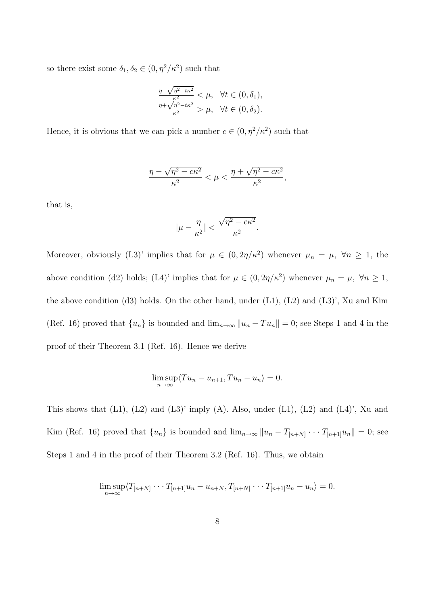so there exist some  $\delta_1, \delta_2 \in (0, \eta^2/\kappa^2)$  such that

$$
\frac{\frac{\eta-\sqrt{\eta^2-t\kappa^2}}{\kappa^2}}{\frac{\eta+\sqrt{\eta^2-t\kappa^2}}{\kappa^2}} < \mu, \quad \forall t \in (0, \delta_1),
$$
\n
$$
\frac{\eta+\sqrt{\eta^2-t\kappa^2}}{\kappa^2} > \mu, \quad \forall t \in (0, \delta_2).
$$

Hence, it is obvious that we can pick a number  $c \in (0, \eta^2/\kappa^2)$  such that

$$
\frac{\eta - \sqrt{\eta^2 - c\kappa^2}}{\kappa^2} < \mu < \frac{\eta + \sqrt{\eta^2 - c\kappa^2}}{\kappa^2},
$$

that is,

$$
|\mu-\frac{\eta}{\kappa^2}|<\frac{\sqrt{\eta^2-c\kappa^2}}{\kappa^2}
$$

.

Moreover, obviously (L3)' implies that for  $\mu \in (0, 2\eta/\kappa^2)$  whenever  $\mu_n = \mu$ ,  $\forall n \ge 1$ , the above condition (d2) holds; (L4)' implies that for  $\mu \in (0, 2\eta/\kappa^2)$  whenever  $\mu_n = \mu$ ,  $\forall n \ge 1$ , the above condition (d3) holds. On the other hand, under  $(L1)$ ,  $(L2)$  and  $(L3)$ ', Xu and Kim (Ref. 16) proved that  $\{u_n\}$  is bounded and  $\lim_{n\to\infty} ||u_n - Tu_n|| = 0$ ; see Steps 1 and 4 in the proof of their Theorem 3.1 (Ref. 16). Hence we derive

$$
\limsup_{n \to \infty} \langle Tu_n - u_{n+1}, Tu_n - u_n \rangle = 0.
$$

This shows that  $(L1)$ ,  $(L2)$  and  $(L3)$ ' imply  $(A)$ . Also, under  $(L1)$ ,  $(L2)$  and  $(L4)$ ', Xu and Kim (Ref. 16) proved that  $\{u_n\}$  is bounded and  $\lim_{n\to\infty} ||u_n - T_{[n+N]} \cdots T_{[n+1]}u_n|| = 0$ ; see Steps 1 and 4 in the proof of their Theorem 3.2 (Ref. 16). Thus, we obtain

$$
\limsup_{n\to\infty}\langle T_{[n+N]}\cdots T_{[n+1]}u_n-u_{n+N},T_{[n+N]}\cdots T_{[n+1]}u_n-u_n\rangle=0.
$$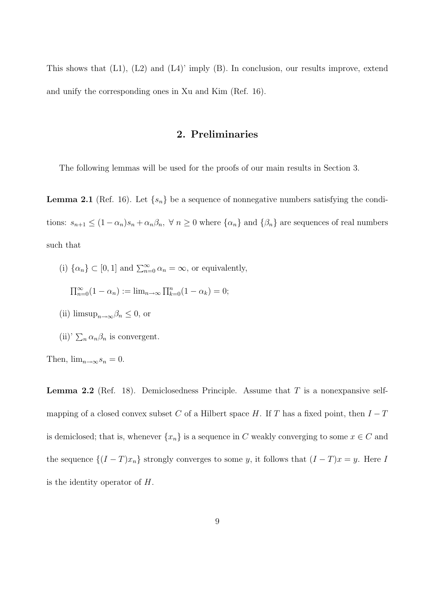This shows that  $(L1)$ ,  $(L2)$  and  $(L4)'$  imply  $(B)$ . In conclusion, our results improve, extend and unify the corresponding ones in Xu and Kim (Ref. 16).

#### 2. Preliminaries

The following lemmas will be used for the proofs of our main results in Section 3.

**Lemma 2.1** (Ref. 16). Let  $\{s_n\}$  be a sequence of nonnegative numbers satisfying the conditions:  $s_{n+1} \leq (1 - \alpha_n)s_n + \alpha_n\beta_n$ ,  $\forall n \geq 0$  where  $\{\alpha_n\}$  and  $\{\beta_n\}$  are sequences of real numbers such that

(i)  $\{\alpha_n\} \subset [0,1]$  and  $\sum_{n=0}^{\infty} \alpha_n = \infty$ , or equivalently,

 $\prod_{n=0}^{\infty} (1 - \alpha_n) := \lim_{n \to \infty} \prod_{k=0}^{n} (1 - \alpha_k) = 0;$ 

- (ii)  $\limsup_{n\to\infty}\beta_n\leq 0$ , or
- (ii)'  $\sum_n \alpha_n \beta_n$  is convergent.

Then,  $\lim_{n\to\infty} s_n = 0$ .

**Lemma 2.2** (Ref. 18). Demiclosedness Principle. Assume that  $T$  is a nonexpansive selfmapping of a closed convex subset C of a Hilbert space H. If T has a fixed point, then  $I-T$ is demiclosed; that is, whenever  $\{x_n\}$  is a sequence in C weakly converging to some  $x \in C$  and the sequence  $\{(I-T)x_n\}$  strongly converges to some y, it follows that  $(I-T)x = y$ . Here I is the identity operator of  $H$ .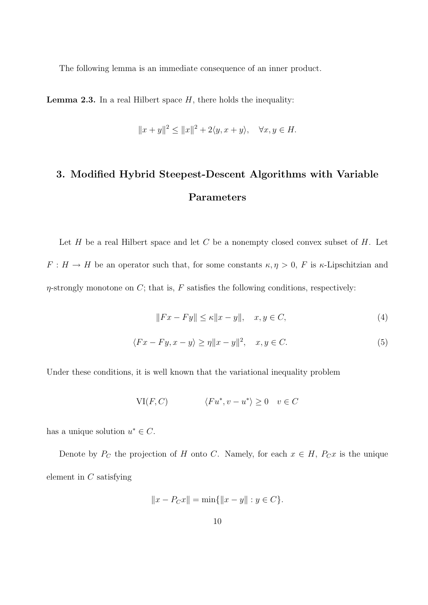The following lemma is an immediate consequence of an inner product.

**Lemma 2.3.** In a real Hilbert space  $H$ , there holds the inequality:

$$
||x+y||^2 \le ||x||^2 + 2\langle y, x+y \rangle, \quad \forall x, y \in H.
$$

# 3. Modified Hybrid Steepest-Descent Algorithms with Variable Parameters

Let  $H$  be a real Hilbert space and let  $C$  be a nonempty closed convex subset of  $H$ . Let  $F: H \to H$  be an operator such that, for some constants  $\kappa, \eta > 0$ , F is  $\kappa$ -Lipschitzian and  $\eta$ -strongly monotone on C; that is, F satisfies the following conditions, respectively:

$$
||Fx - Fy|| \le \kappa ||x - y||, \quad x, y \in C,
$$
\n<sup>(4)</sup>

$$
\langle Fx - Fy, x - y \rangle \ge \eta \|x - y\|^2, \quad x, y \in C. \tag{5}
$$

Under these conditions, it is well known that the variational inequality problem

$$
\text{VI}(F, C) \qquad \langle Fu^*, v - u^* \rangle \ge 0 \quad v \in C
$$

has a unique solution  $u^* \in C$ .

Denote by  $P_C$  the projection of H onto C. Namely, for each  $x \in H$ ,  $P_C x$  is the unique element in C satisfying

$$
||x - P_C x|| = \min{||x - y|| : y \in C}.
$$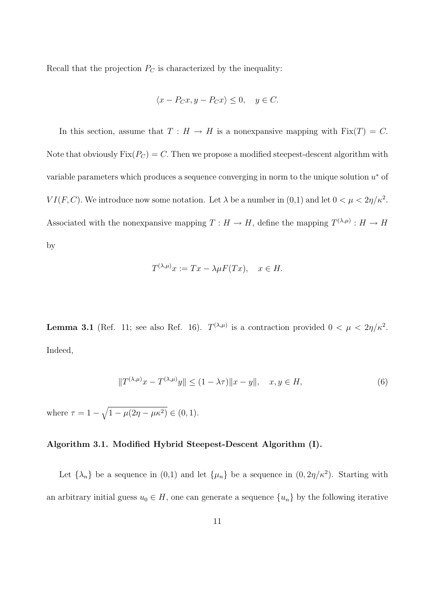Recall that the projection  $P_C$  is characterized by the inequality:

$$
\langle x - P_C x, y - P_C x \rangle \le 0, \quad y \in C.
$$

In this section, assume that  $T : H \to H$  is a nonexpansive mapping with  $Fix(T) = C$ . Note that obviously  $Fix(P_C) = C$ . Then we propose a modified steepest-descent algorithm with variable parameters which produces a sequence converging in norm to the unique solution  $u^*$  of  $VI(F, C)$ . We introduce now some notation. Let  $\lambda$  be a number in  $(0,1)$  and let  $0 < \mu < 2\eta/\kappa^2$ . Associated with the nonexpansive mapping  $T: H \to H$ , define the mapping  $T^{(\lambda,\mu)}: H \to H$ by

$$
T^{(\lambda,\mu)}x := Tx - \lambda \mu F(Tx), \quad x \in H.
$$

**Lemma 3.1** (Ref. 11; see also Ref. 16).  $T^{(\lambda,\mu)}$  is a contraction provided  $0 < \mu < 2\eta/\kappa^2$ . Indeed,

$$
||T^{(\lambda,\mu)}x - T^{(\lambda,\mu)}y|| \le (1 - \lambda \tau) ||x - y||, \quad x, y \in H,
$$
\n(6)

where  $\tau = 1 - \sqrt{1 - \mu(2\eta - \mu \kappa^2)} \in (0, 1)$ .

#### Algorithm 3.1. Modified Hybrid Steepest-Descent Algorithm (I).

Let  $\{\lambda_n\}$  be a sequence in  $(0,1)$  and let  $\{\mu_n\}$  be a sequence in  $(0,2\eta/\kappa^2)$ . Starting with an arbitrary initial guess  $u_0 \in H$ , one can generate a sequence  $\{u_n\}$  by the following iterative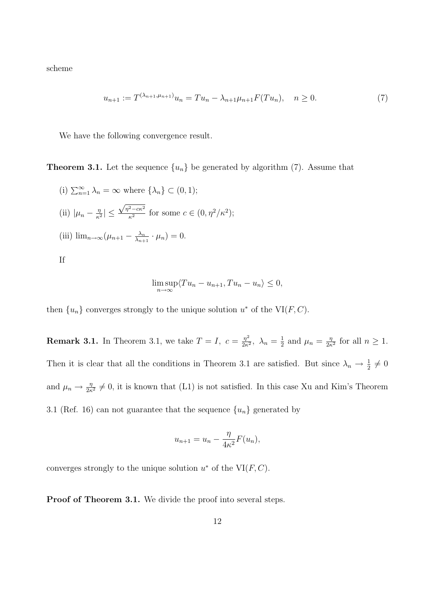scheme

$$
u_{n+1} := T^{(\lambda_{n+1}, \mu_{n+1})} u_n = T u_n - \lambda_{n+1} \mu_{n+1} F(T u_n), \quad n \ge 0.
$$
 (7)

We have the following convergence result.

**Theorem 3.1.** Let the sequence  $\{u_n\}$  be generated by algorithm (7). Assume that

(i)  $\sum_{n=1}^{\infty} \lambda_n = \infty$  where  $\{\lambda_n\} \subset (0,1)$ ; (ii)  $|\mu_n - \frac{\eta}{\kappa^2}|$  $\frac{\eta}{\kappa^2}|\leq$  $\sqrt{\eta^2-c\kappa^2}$  $\frac{z-c\kappa^2}{\kappa^2}$  for some  $c \in (0, \eta^2/\kappa^2);$ (iii)  $\lim_{n\to\infty} (\mu_{n+1} - \frac{\lambda_n}{\lambda_{n+1}})$  $\frac{\lambda_n}{\lambda_{n+1}} \cdot \mu_n$ ) = 0. If

$$
\limsup_{n \to \infty} \langle Tu_n - u_{n+1}, Tu_n - u_n \rangle \le 0,
$$

then  $\{u_n\}$  converges strongly to the unique solution  $u^*$  of the VI(F, C).

**Remark 3.1.** In Theorem 3.1, we take  $T = I$ ,  $c = \frac{\eta^2}{2\kappa^2}$  $\frac{\eta^2}{2\kappa^2}, \lambda_n = \frac{1}{2}$  $rac{1}{2}$  and  $\mu_n = \frac{\eta}{2\kappa}$  $\frac{\eta}{2\kappa^2}$  for all  $n \geq 1$ . Then it is clear that all the conditions in Theorem 3.1 are satisfied. But since  $\lambda_n \to \frac{1}{2} \neq 0$ and  $\mu_n \to \frac{\eta}{2\kappa^2} \neq 0$ , it is known that (L1) is not satisfied. In this case Xu and Kim's Theorem 3.1 (Ref. 16) can not guarantee that the sequence  $\{u_n\}$  generated by

$$
u_{n+1} = u_n - \frac{\eta}{4\kappa^2} F(u_n),
$$

converges strongly to the unique solution  $u^*$  of the VI $(F, C)$ .

Proof of Theorem 3.1. We divide the proof into several steps.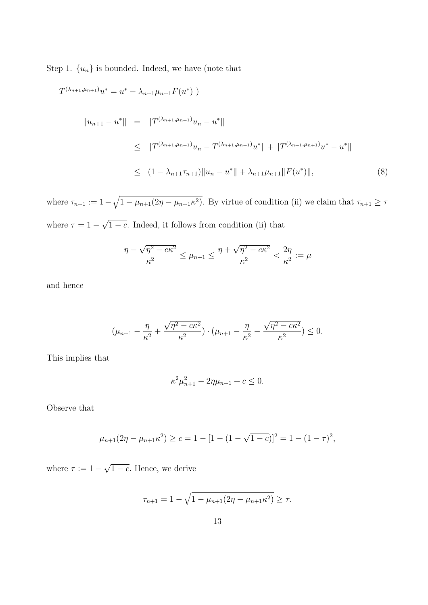Step 1.  $\{u_n\}$  is bounded. Indeed, we have (note that

$$
T^{(\lambda_{n+1},\mu_{n+1})}u^* = u^* - \lambda_{n+1}\mu_{n+1}F(u^*)
$$
  
\n
$$
||u_{n+1} - u^*|| = ||T^{(\lambda_{n+1},\mu_{n+1})}u_n - u^*||
$$
  
\n
$$
\leq ||T^{(\lambda_{n+1},\mu_{n+1})}u_n - T^{(\lambda_{n+1},\mu_{n+1})}u^*|| + ||T^{(\lambda_{n+1},\mu_{n+1})}u^* - u^*||
$$
  
\n
$$
\leq (1 - \lambda_{n+1}\tau_{n+1})||u_n - u^*|| + \lambda_{n+1}\mu_{n+1}||F(u^*)||,
$$
\n(8)

where  $\tau_{n+1} := 1 - \sqrt{1 - \mu_{n+1}(2\eta - \mu_{n+1}\kappa^2)}$ . By virtue of condition (ii) we claim that  $\tau_{n+1} \geq \tau$ where  $\tau = 1 -$ √  $\overline{1-c}$ . Indeed, it follows from condition (ii) that

$$
\frac{\eta - \sqrt{\eta^2 - c\kappa^2}}{\kappa^2} \le \mu_{n+1} \le \frac{\eta + \sqrt{\eta^2 - c\kappa^2}}{\kappa^2} < \frac{2\eta}{\kappa^2} := \mu
$$

and hence

$$
(\mu_{n+1} - \frac{\eta}{\kappa^2} + \frac{\sqrt{\eta^2 - c\kappa^2}}{\kappa^2}) \cdot (\mu_{n+1} - \frac{\eta}{\kappa^2} - \frac{\sqrt{\eta^2 - c\kappa^2}}{\kappa^2}) \le 0.
$$

This implies that

$$
\kappa^2 \mu_{n+1}^2 - 2\eta \mu_{n+1} + c \le 0.
$$

Observe that

$$
\mu_{n+1}(2\eta - \mu_{n+1}\kappa^2) \ge c = 1 - [1 - (1 - \sqrt{1 - c})]^2 = 1 - (1 - \tau)^2,
$$

where  $\tau := 1 -$ √  $1 - c$ . Hence, we derive

$$
\tau_{n+1} = 1 - \sqrt{1 - \mu_{n+1}(2\eta - \mu_{n+1}\kappa^2)} \ge \tau.
$$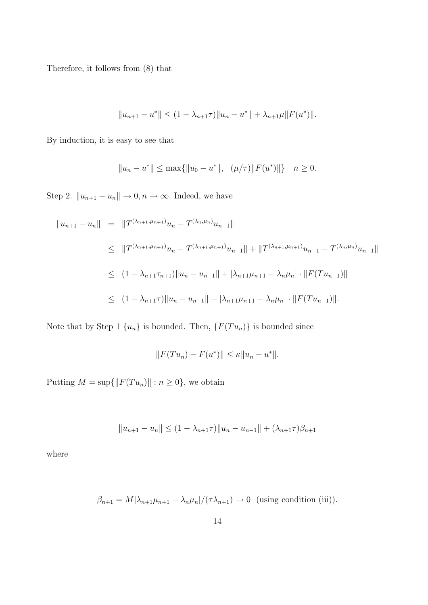Therefore, it follows from (8) that

$$
||u_{n+1} - u^*|| \le (1 - \lambda_{n+1}\tau)||u_n - u^*|| + \lambda_{n+1}\mu||F(u^*)||.
$$

By induction, it is easy to see that

$$
||u_n - u^*|| \le \max{||u_0 - u^*||, \quad (\mu/\tau)||F(u^*)|| } \quad n \ge 0.
$$

Step 2.  $||u_{n+1} - u_n|| \to 0, n \to \infty$ . Indeed, we have

$$
||u_{n+1} - u_n|| = ||T^{(\lambda_{n+1}, \mu_{n+1})}u_n - T^{(\lambda_n, \mu_n)}u_{n-1}||
$$
  
\n
$$
\leq ||T^{(\lambda_{n+1}, \mu_{n+1})}u_n - T^{(\lambda_{n+1}, \mu_{n+1})}u_{n-1}|| + ||T^{(\lambda_{n+1}, \mu_{n+1})}u_{n-1} - T^{(\lambda_n, \mu_n)}u_{n-1}||
$$
  
\n
$$
\leq (1 - \lambda_{n+1}\tau_{n+1})||u_n - u_{n-1}|| + |\lambda_{n+1}\mu_{n+1} - \lambda_n\mu_n| \cdot ||F(Tu_{n-1})||
$$
  
\n
$$
\leq (1 - \lambda_{n+1}\tau)||u_n - u_{n-1}|| + |\lambda_{n+1}\mu_{n+1} - \lambda_n\mu_n| \cdot ||F(Tu_{n-1})||.
$$

Note that by Step 1  $\{u_n\}$  is bounded. Then,  $\{F(T u_n)\}$  is bounded since

$$
||F(Tu_n) - F(u^*)|| \le \kappa ||u_n - u^*||.
$$

Putting  $M = \sup\{\|F(T u_n)\| : n \ge 0\}$ , we obtain

$$
||u_{n+1} - u_n|| \le (1 - \lambda_{n+1}\tau)||u_n - u_{n-1}|| + (\lambda_{n+1}\tau)\beta_{n+1}
$$

where

$$
\beta_{n+1} = M|\lambda_{n+1}\mu_{n+1} - \lambda_n\mu_n|/(\tau\lambda_{n+1}) \to 0 \text{ (using condition (iii))}.
$$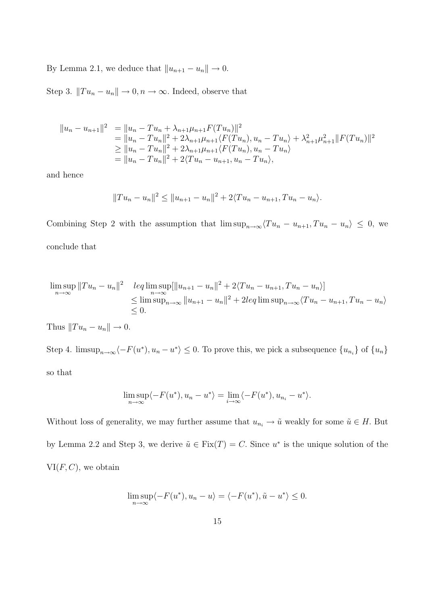By Lemma 2.1, we deduce that  $||u_{n+1} - u_n|| \to 0$ .

Step 3.  $||Tu_n - u_n|| \to 0, n \to \infty$ . Indeed, observe that

$$
||u_n - u_{n+1}||^2 = ||u_n - Tu_n + \lambda_{n+1}\mu_{n+1}F(Tu_n)||^2
$$
  
\n
$$
= ||u_n - Tu_n||^2 + 2\lambda_{n+1}\mu_{n+1}\langle F(Tu_n), u_n - Tu_n \rangle + \lambda_{n+1}^2\mu_{n+1}^2 ||F(Tu_n)||^2
$$
  
\n
$$
\ge ||u_n - Tu_n||^2 + 2\lambda_{n+1}\mu_{n+1}\langle F(Tu_n), u_n - Tu_n \rangle
$$
  
\n
$$
= ||u_n - Tu_n||^2 + 2\langle Tu_n - u_{n+1}, u_n - Tu_n \rangle,
$$

and hence

$$
||Tu_n - u_n||^2 \le ||u_{n+1} - u_n||^2 + 2\langle Tu_n - u_{n+1}, Tu_n - u_n\rangle.
$$

Combining Step 2 with the assumption that  $\limsup_{n\to\infty}\langle Tu_n - u_{n+1}, Tu_n - u_n \rangle \leq 0$ , we conclude that

$$
\limsup_{n \to \infty} ||Tu_n - u_n||^2 \quad \text{leq} \limsup_{n \to \infty} [||u_{n+1} - u_n||^2 + 2\langle Tu_n - u_{n+1}, Tu_n - u_n \rangle] \leq \limsup_{n \to \infty} \sup_{n \to \infty} ||u_{n+1} - u_n||^2 + 2\text{leq} \limsup_{n \to \infty} \langle Tu_n - u_{n+1}, Tu_n - u_n \rangle
$$
  
\n $\leq 0.$ 

Thus  $||Tu_n - u_n|| \to 0$ .

Step 4.  $\limsup_{n\to\infty}\langle -F(u^*), u_n - u^* \rangle \leq 0$ . To prove this, we pick a subsequence  $\{u_{n_i}\}\$  of  $\{u_n\}$ so that

$$
\limsup_{n\to\infty}\langle -F(u^*), u_n-u^*\rangle = \lim_{i\to\infty}\langle -F(u^*), u_{n_i}-u^*\rangle.
$$

Without loss of generality, we may further assume that  $u_{n_i} \to \tilde{u}$  weakly for some  $\tilde{u} \in H$ . But by Lemma 2.2 and Step 3, we derive  $\tilde{u} \in \text{Fix}(T) = C$ . Since  $u^*$  is the unique solution of the  $VI(F, C)$ , we obtain

$$
\limsup_{n \to \infty} \langle -F(u^*), u_n - u \rangle = \langle -F(u^*), \tilde{u} - u^* \rangle \le 0.
$$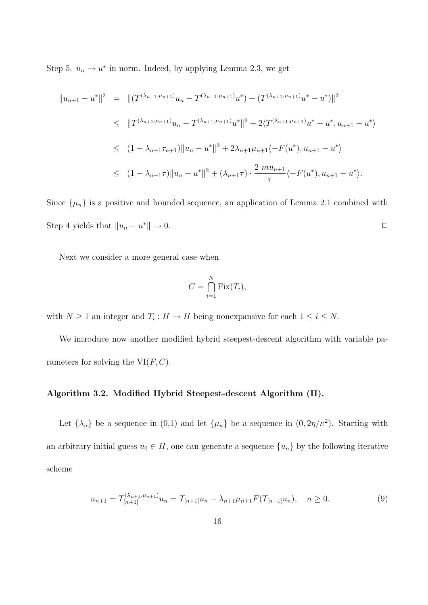Step 5.  $u_n \to u^*$  in norm. Indeed, by applying Lemma 2.3, we get

$$
||u_{n+1} - u^*||^2 = ||(T^{(\lambda_{n+1}, \mu_{n+1})}u_n - T^{(\lambda_{n+1}, \mu_{n+1})}u^*) + (T^{(\lambda_{n+1}, \mu_{n+1})}u^* - u^*)||^2
$$
  
\n
$$
\leq ||T^{(\lambda_{n+1}, \mu_{n+1})}u_n - T^{(\lambda_{n+1}, \mu_{n+1})}u^*||^2 + 2\langle T^{(\lambda_{n+1}, \mu_{n+1})}u^* - u^*, u_{n+1} - u^* \rangle
$$
  
\n
$$
\leq (1 - \lambda_{n+1}\tau_{n+1})||u_n - u^*||^2 + 2\lambda_{n+1}\mu_{n+1}\langle -F(u^*), u_{n+1} - u^* \rangle
$$
  
\n
$$
\leq (1 - \lambda_{n+1}\tau)||u_n - u^*||^2 + (\lambda_{n+1}\tau) \cdot \frac{2 \mu_{n+1}}{\tau} \langle -F(u^*), u_{n+1} - u^* \rangle.
$$

Since  $\{\mu_n\}$  is a positive and bounded sequence, an application of Lemma 2.1 combined with Step 4 yields that  $||u_n - u^*|| \to 0$ .

Next we consider a more general case when

$$
C = \bigcap_{i=1}^{N} \text{Fix}(T_i),
$$

with  $N \geq 1$  an integer and  $T_i : H \to H$  being nonexpansive for each  $1 \leq i \leq N$ .

We introduce now another modified hybrid steepest-descent algorithm with variable parameters for solving the  $VI(F, C)$ .

#### Algorithm 3.2. Modified Hybrid Steepest-descent Algorithm (II).

Let  $\{\lambda_n\}$  be a sequence in  $(0,1)$  and let  $\{\mu_n\}$  be a sequence in  $(0,2\eta/\kappa^2)$ . Starting with an arbitrary initial guess  $u_0 \in H$ , one can generate a sequence  $\{u_n\}$  by the following iterative scheme

$$
u_{n+1} = T_{[n+1]}^{(\lambda_{n+1}, \mu_{n+1})} u_n = T_{[n+1]} u_n - \lambda_{n+1} \mu_{n+1} F(T_{[n+1]} u_n), \quad n \ge 0.
$$
\n(9)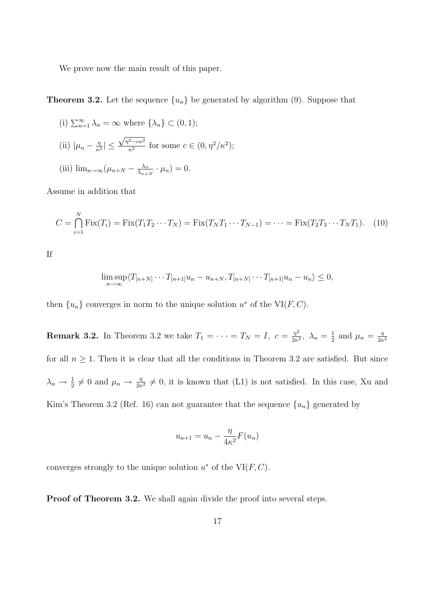We prove now the main result of this paper.

**Theorem 3.2.** Let the sequence  $\{u_n\}$  be generated by algorithm (9). Suppose that

(i) 
$$
\sum_{n=1}^{\infty} \lambda_n = \infty
$$
 where  $\{\lambda_n\} \subset (0, 1);$   
\n(ii)  $|\mu_n - \frac{\eta}{\kappa^2}| \le \frac{\sqrt{\eta^2 - c\kappa^2}}{\kappa^2}$  for some  $c \in (0, \eta^2/\kappa^2);$   
\n(iii)  $\lim_{n \to \infty} (\mu_{n+N} - \frac{\lambda_n}{\lambda_{n+N}} \cdot \mu_n) = 0.$ 

Assume in addition that

$$
C = \bigcap_{i=1}^{N} \text{Fix}(T_i) = \text{Fix}(T_1 T_2 \cdots T_N) = \text{Fix}(T_N T_1 \cdots T_{N-1}) = \cdots = \text{Fix}(T_2 T_3 \cdots T_N T_1). \tag{10}
$$

If

$$
\limsup_{n\to\infty}\langle T_{[n+N]}\cdots T_{[n+1]}u_n-u_{n+N},T_{[n+N]}\cdots T_{[n+1]}u_n-u_n\rangle\leq 0,
$$

then  $\{u_n\}$  converges in norm to the unique solution  $u^*$  of the VI(F, C).

**Remark 3.2.** In Theorem 3.2 we take  $T_1 = \cdots = T_N = I$ ,  $c = \frac{\eta^2}{2\kappa}$  $\frac{\eta^2}{2\kappa^2}, \lambda_n = \frac{1}{2}$  $rac{1}{2}$  and  $\mu_n = \frac{\eta}{2\kappa}$  $2\kappa^2$ for all  $n \geq 1$ . Then it is clear that all the conditions in Theorem 3.2 are satisfied. But since  $\lambda_n \to \frac{1}{2} \neq 0$  and  $\mu_n \to \frac{\eta}{2\kappa^2} \neq 0$ , it is known that (L1) is not satisfied. In this case, Xu and Kim's Theorem 3.2 (Ref. 16) can not guarantee that the sequence  ${u_n}$  generated by

$$
u_{n+1} = u_n - \frac{\eta}{4\kappa^2} F(u_n)
$$

converges strongly to the unique solution  $u^*$  of the VI $(F, C)$ .

Proof of Theorem 3.2. We shall again divide the proof into several steps.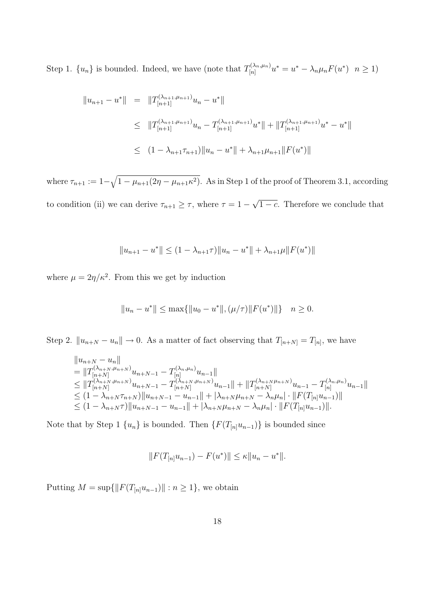Step 1.  $\{u_n\}$  is bounded. Indeed, we have (note that  $T_{[n]}^{(\lambda_n,\mu_n)}$  $\tilde{u}_{[n]}^{(\lambda_n,\mu_n)}u^*=u^*-\lambda_n\mu_nF(u^*)\;\;n\geq 1).$ 

$$
||u_{n+1} - u^*|| = ||T_{[n+1]}^{(\lambda_{n+1}, \mu_{n+1})} u_n - u^*||
$$
  
\n
$$
\leq ||T_{[n+1]}^{(\lambda_{n+1}, \mu_{n+1})} u_n - T_{[n+1]}^{(\lambda_{n+1}, \mu_{n+1})} u^*|| + ||T_{[n+1]}^{(\lambda_{n+1}, \mu_{n+1})} u^* - u^*||
$$
  
\n
$$
\leq (1 - \lambda_{n+1} \tau_{n+1}) ||u_n - u^*|| + \lambda_{n+1} \mu_{n+1} ||F(u^*)||
$$

where  $\tau_{n+1} := 1 - \sqrt{1 - \mu_{n+1}(2\eta - \mu_{n+1}\kappa^2)}$ . As in Step 1 of the proof of Theorem 3.1, according to condition (ii) we can derive  $\tau_{n+1} \geq \tau$ , where  $\tau = 1 - \tau$ √  $\overline{1-c}$ . Therefore we conclude that

$$
||u_{n+1} - u^*|| \le (1 - \lambda_{n+1}\tau)||u_n - u^*|| + \lambda_{n+1}\mu||F(u^*)||
$$

where  $\mu = 2\eta/\kappa^2$ . From this we get by induction

$$
||u_n - u^*|| \le \max\{||u_0 - u^*||, (\mu/\tau) || F(u^*)||\} \quad n \ge 0.
$$

Step 2.  $||u_{n+N} - u_n|| \to 0$ . As a matter of fact observing that  $T_{[n+N]} = T_{[n]}$ , we have

$$
||u_{n+N} - u_n||
$$
  
\n
$$
= ||T_{[n+N]}^{(\lambda_{n+N},\mu_{n+N})} u_{n+N-1} - T_{[n]}^{(\lambda_{n},\mu_{n})} u_{n-1}||
$$
  
\n
$$
\leq ||T_{[n+N]}^{(\lambda_{n+N},\mu_{n+N})} u_{n+N-1} - T_{[n+N]}^{(\lambda_{n+N},\mu_{n+N})} u_{n-1}|| + ||T_{[n+N]}^{(\lambda_{n+N}\mu_{n+N})} u_{n-1} - T_{[n]}^{(\lambda_{n},\mu_{n})} u_{n-1}||
$$
  
\n
$$
\leq (1 - \lambda_{n+N}\tau_{n+N}) ||u_{n+N-1} - u_{n-1}|| + |\lambda_{n+N}\mu_{n+N} - \lambda_n\mu_n| \cdot ||F(T_{[n]}u_{n-1})||
$$
  
\n
$$
\leq (1 - \lambda_{n+N}\tau) ||u_{n+N-1} - u_{n-1}|| + |\lambda_{n+N}\mu_{n+N} - \lambda_n\mu_n| \cdot ||F(T_{[n]}u_{n-1})||.
$$

Note that by Step 1  $\{u_n\}$  is bounded. Then  $\{F(T_{[n]}u_{n-1})\}$  is bounded since

$$
||F(T_{[n]}u_{n-1}) - F(u^*)|| \le \kappa ||u_n - u^*||.
$$

Putting  $M = \sup\{\|F(T_{[n]}u_{n-1})\| : n \geq 1\}$ , we obtain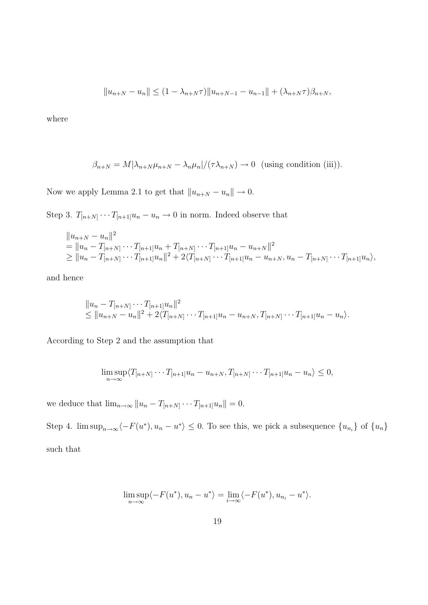$$
||u_{n+N} - u_n|| \le (1 - \lambda_{n+N}\tau)||u_{n+N-1} - u_{n-1}|| + (\lambda_{n+N}\tau)\beta_{n+N},
$$

where

$$
\beta_{n+N} = M|\lambda_{n+N}\mu_{n+N} - \lambda_n\mu_n|/(\tau\lambda_{n+N}) \to 0 \text{ (using condition (iii))}.
$$

Now we apply Lemma 2.1 to get that  $||u_{n+N} - u_n|| \to 0$ .

Step 3.  $T_{[n+N]} \cdots T_{[n+1]} u_n - u_n \to 0$  in norm. Indeed observe that

$$
||u_{n+N} - u_n||^2
$$
  
=  $||u_n - T_{[n+N]} \cdots T_{[n+1]} u_n + T_{[n+N]} \cdots T_{[n+1]} u_n - u_{n+N}||^2$   
 $\ge ||u_n - T_{[n+N]} \cdots T_{[n+1]} u_n||^2 + 2\langle T_{[n+N]} \cdots T_{[n+1]} u_n - u_{n+N}, u_n - T_{[n+N]} \cdots T_{[n+1]} u_n \rangle$ ,

and hence

$$
||u_n - T_{[n+N]} \cdots T_{[n+1]} u_n||^2
$$
  
\n
$$
\leq ||u_{n+N} - u_n||^2 + 2\langle T_{[n+N]} \cdots T_{[n+1]} u_n - u_{n+N}, T_{[n+N]} \cdots T_{[n+1]} u_n - u_n \rangle.
$$

According to Step 2 and the assumption that

$$
\limsup_{n \to \infty} \langle T_{[n+N]} \cdots T_{[n+1]} u_n - u_{n+N}, T_{[n+N]} \cdots T_{[n+1]} u_n - u_n \rangle \le 0,
$$

we deduce that  $\lim_{n\to\infty} ||u_n - T_{[n+N]} \cdots T_{[n+1]}u_n|| = 0.$ 

Step 4.  $\limsup_{n\to\infty}\langle -F(u^*), u_n - u^* \rangle \leq 0$ . To see this, we pick a subsequence  $\{u_{n_i}\}\$  of  $\{u_n\}$ such that

$$
\limsup_{n \to \infty} \langle -F(u^*), u_n - u^* \rangle = \lim_{i \to \infty} \langle -F(u^*), u_{n_i} - u^* \rangle.
$$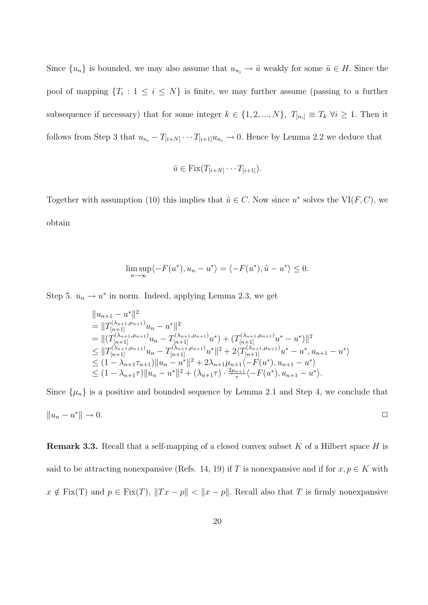Since  ${u_n}$  is bounded, we may also assume that  $u_{n_i} \to \tilde{u}$  weakly for some  $\tilde{u} \in H$ . Since the pool of mapping  ${T_i : 1 \le i \le N}$  is finite, we may further assume (passing to a further subsequence if necessary) that for some integer  $k \in \{1, 2, ..., N\}$ ,  $T_{[n_i]} \equiv T_k \ \forall i \geq 1$ . Then it follows from Step 3 that  $u_{n_i} - T_{[i+N]} \cdots T_{[i+1]} u_{n_i} \to 0$ . Hence by Lemma 2.2 we deduce that

$$
\tilde{u} \in \text{Fix}(T_{[i+N]}\cdots T_{[i+1]}).
$$

Together with assumption (10) this implies that  $\tilde{u} \in C$ . Now since  $u^*$  solves the VI(F, C), we obtain

$$
\limsup_{n \to \infty} \langle -F(u^*), u_n - u^* \rangle = \langle -F(u^*), \tilde{u} - u^* \rangle \le 0.
$$

Step 5.  $u_n \to u^*$  in norm. Indeed, applying Lemma 2.3, we get

$$
||u_{n+1} - u^*||^2
$$
  
=  $||T_{[n+1]}^{(\lambda_{n+1}, \mu_{n+1})}u_n - u^*||^2$   
=  $||(T_{[n+1]}^{(\lambda_{n+1}, \mu_{n+1})}u_n - T_{[n+1]}^{(\lambda_{n+1}, \mu_{n+1})}u^*) + (T_{[n+1]}^{(\lambda_{n+1}, \mu_{n+1})}u^* - u^*)||^2$   
 $\leq ||T_{[n+1]}^{(\lambda_{n+1}, \mu_{n+1})}u_n - T_{[n+1]}^{(\lambda_{n+1}, \mu_{n+1})}u^*||^2 + 2\langle T_{[n+1]}^{(\lambda_{n+1}, \mu_{n+1})}u^* - u^*, u_{n+1} - u^* \rangle$   
 $\leq (1 - \lambda_{n+1}\tau_{n+1})||u_n - u^*||^2 + 2\lambda_{n+1}\mu_{n+1}\langle -F(u^*), u_{n+1} - u^* \rangle$   
 $\leq (1 - \lambda_{n+1}\tau)||u_n - u^*||^2 + (\lambda_{n+1}\tau) \cdot \frac{2\mu_{n+1}}{\tau}\langle -F(u^*), u_{n+1} - u^* \rangle.$ 

Since  $\{\mu_n\}$  is a positive and bounded sequence by Lemma 2.1 and Step 4, we conclude that  $||u_n - u^*|| \to 0.$  $*\| \to 0.$ 

**Remark 3.3.** Recall that a self-mapping of a closed convex subset K of a Hilbert space H is said to be attracting nonexpansive (Refs. 14, 19) if T is nonexpansive and if for  $x, p \in K$  with  $x \notin \text{Fix}(T)$  and  $p \in \text{Fix}(T)$ ,  $||Tx - p|| < ||x - p||$ . Recall also that T is firmly nonexpansive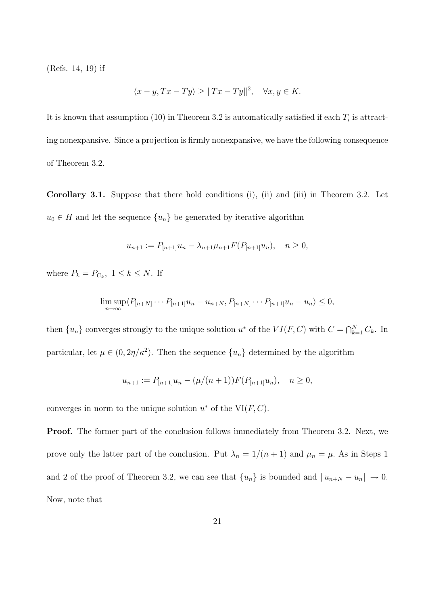(Refs. 14, 19) if

$$
\langle x - y, Tx - Ty \rangle \ge ||Tx - Ty||^2, \quad \forall x, y \in K.
$$

It is known that assumption (10) in Theorem 3.2 is automatically satisfied if each  $T_i$  is attracting nonexpansive. Since a projection is firmly nonexpansive, we have the following consequence of Theorem 3.2.

Corollary 3.1. Suppose that there hold conditions (i), (ii) and (iii) in Theorem 3.2. Let  $u_0 \in H$  and let the sequence  $\{u_n\}$  be generated by iterative algorithm

$$
u_{n+1} := P_{[n+1]}u_n - \lambda_{n+1}\mu_{n+1}F(P_{[n+1]}u_n), \quad n \ge 0,
$$

where  $P_k = P_{C_k}$ ,  $1 \leq k \leq N$ . If

$$
\limsup_{n\to\infty} \langle P_{[n+N]}\cdots P_{[n+1]}u_n - u_{n+N}, P_{[n+N]}\cdots P_{[n+1]}u_n - u_n\rangle \leq 0,
$$

then  $\{u_n\}$  converges strongly to the unique solution  $u^*$  of the  $VI(F, C)$  with  $C = \bigcap_{k=1}^{N} C_k$ . In particular, let  $\mu \in (0, 2\eta/\kappa^2)$ . Then the sequence  $\{u_n\}$  determined by the algorithm

$$
u_{n+1} := P_{[n+1]}u_n - (\mu/(n+1))F(P_{[n+1]}u_n), \quad n \ge 0,
$$

converges in norm to the unique solution  $u^*$  of the VI $(F, C)$ .

**Proof.** The former part of the conclusion follows immediately from Theorem 3.2. Next, we prove only the latter part of the conclusion. Put  $\lambda_n = 1/(n+1)$  and  $\mu_n = \mu$ . As in Steps 1 and 2 of the proof of Theorem 3.2, we can see that  $\{u_n\}$  is bounded and  $||u_{n+N} - u_n|| \to 0$ . Now, note that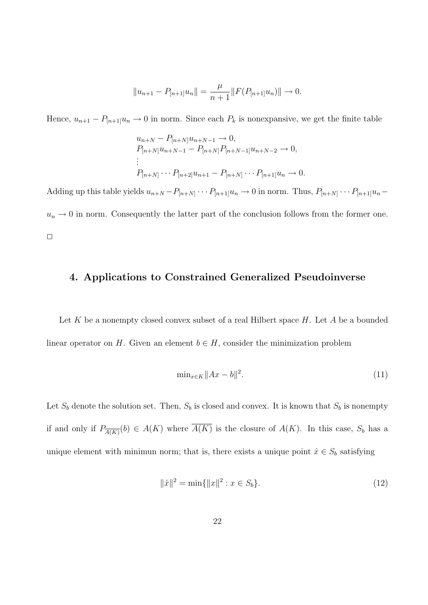$$
||u_{n+1} - P_{[n+1]}u_n|| = \frac{\mu}{n+1} ||F(P_{[n+1]}u_n)|| \to 0.
$$

Hence,  $u_{n+1} - P_{[n+1]}u_n \to 0$  in norm. Since each  $P_k$  is nonexpansive, we get the finite table

$$
u_{n+N} - P_{[n+N]}u_{n+N-1} \to 0,
$$
  
\n
$$
P_{[n+N]}u_{n+N-1} - P_{[n+N]}P_{[n+N-1]}u_{n+N-2} \to 0,
$$
  
\n
$$
\vdots
$$
  
\n
$$
P_{[n+N]} \cdots P_{[n+2]}u_{n+1} - P_{[n+N]} \cdots P_{[n+1]}u_n \to 0.
$$

Adding up this table yields  $u_{n+N} - P_{[n+N]} \cdots P_{[n+1]} u_n \to 0$  in norm. Thus,  $P_{[n+N]} \cdots P_{[n+1]} u_n$  $u_n \to 0$  in norm. Consequently the latter part of the conclusion follows from the former one.  $\Box$ 

#### 4. Applications to Constrained Generalized Pseudoinverse

Let K be a nonempty closed convex subset of a real Hilbert space  $H$ . Let A be a bounded linear operator on H. Given an element  $b \in H$ , consider the minimization problem

$$
\min_{x \in K} \|Ax - b\|^2. \tag{11}
$$

Let  $S_b$  denote the solution set. Then,  $S_b$  is closed and convex. It is known that  $S_b$  is nonempty if and only if  $P_{\overline{A(K)}}(b) \in A(K)$  where  $A(K)$  is the closure of  $A(K)$ . In this case,  $S_b$  has a unique element with minimun norm; that is, there exists a unique point  $\hat{x} \in S_b$  satisfying

$$
\|\hat{x}\|^2 = \min\{\|x\|^2 : x \in S_b\}.\tag{12}
$$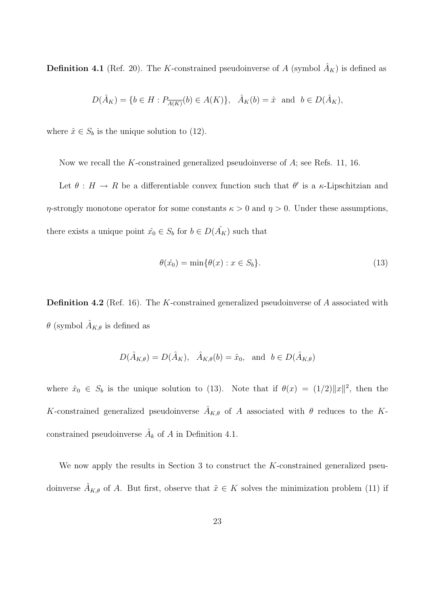**Definition 4.1** (Ref. 20). The K-constrained pseudoinverse of A (symbol  $\hat{A}_K$ ) is defined as

$$
D(\hat{A}_K) = \{b \in H : P_{\overline{A(K)}}(b) \in A(K)\}, \quad \hat{A}_K(b) = \hat{x} \text{ and } b \in D(\hat{A}_K),
$$

where  $\hat{x} \in S_b$  is the unique solution to (12).

Now we recall the K-constrained generalized pseudoinverse of A; see Refs. 11, 16.

Let  $\theta : H \to R$  be a differentiable convex function such that  $\theta'$  is a  $\kappa$ -Lipschitzian and  $\eta$ -strongly monotone operator for some constants  $\kappa > 0$  and  $\eta > 0$ . Under these assumptions, there exists a unique point  $\hat{x_0} \in S_b$  for  $b \in D(\hat{A_K})$  such that

$$
\theta(\hat{x}_0) = \min\{\theta(x) : x \in S_b\}.
$$
\n(13)

Definition 4.2 (Ref. 16). The K-constrained generalized pseudoinverse of A associated with  $\theta$  (symbol  $\hat{A}_{K,\theta}$  is defined as

$$
D(\hat{A}_{K,\theta}) = D(\hat{A}_K), \quad \hat{A}_{K,\theta}(b) = \hat{x}_0, \text{ and } b \in D(\hat{A}_{K,\theta})
$$

where  $\hat{x}_0 \in S_b$  is the unique solution to (13). Note that if  $\theta(x) = (1/2) ||x||^2$ , then the K-constrained generalized pseudoinverse  $\hat{A}_{K,\theta}$  of A associated with  $\theta$  reduces to the Kconstrained pseudoinverse  $\hat{A}_k$  of A in Definition 4.1.

We now apply the results in Section 3 to construct the K-constrained generalized pseudoinverse  $\hat{A}_{K,\theta}$  of A. But first, observe that  $\tilde{x} \in K$  solves the minimization problem (11) if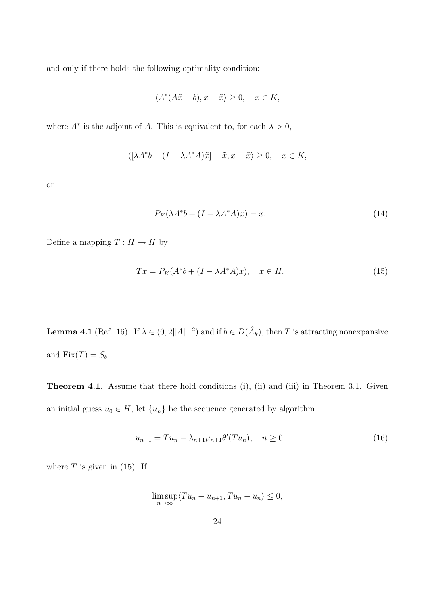and only if there holds the following optimality condition:

$$
\langle A^*(A\tilde{x} - b), x - \tilde{x} \rangle \ge 0, \quad x \in K,
$$

where  $A^*$  is the adjoint of A. This is equivalent to, for each  $\lambda > 0$ ,

$$
\langle [\lambda A^* b + (I - \lambda A^* A)\tilde{x}] - \tilde{x}, x - \tilde{x} \rangle \ge 0, \quad x \in K,
$$

or

$$
P_K(\lambda A^*b + (I - \lambda A^*A)\tilde{x}) = \tilde{x}.
$$
\n(14)

Define a mapping  $T: H \rightarrow H$  by

$$
Tx = P_K(A^*b + (I - \lambda A^*A)x), \quad x \in H.
$$
\n
$$
(15)
$$

**Lemma 4.1** (Ref. 16). If  $\lambda \in (0, 2||A||^{-2})$  and if  $b \in D(\hat{A}_k)$ , then T is attracting nonexpansive and  $Fix(T) = S_b$ .

Theorem 4.1. Assume that there hold conditions (i), (ii) and (iii) in Theorem 3.1. Given an initial guess  $u_0 \in H$ , let  $\{u_n\}$  be the sequence generated by algorithm

$$
u_{n+1} = Tu_n - \lambda_{n+1} \mu_{n+1} \theta'(Tu_n), \quad n \ge 0,
$$
\n(16)

where  $T$  is given in (15). If

$$
\limsup_{n \to \infty} \langle Tu_n - u_{n+1}, Tu_n - u_n \rangle \le 0,
$$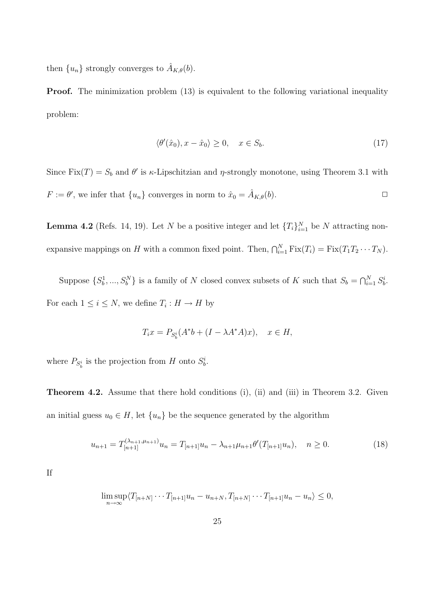then  $\{u_n\}$  strongly converges to  $\hat{A}_{K,\theta}(b)$ .

**Proof.** The minimization problem (13) is equivalent to the following variational inequality problem:

$$
\langle \theta'(\hat{x}_0), x - \hat{x}_0 \rangle \ge 0, \quad x \in S_b. \tag{17}
$$

Since  $Fix(T) = S_b$  and  $\theta'$  is  $\kappa$ -Lipschitzian and  $\eta$ -strongly monotone, using Theorem 3.1 with  $F := \theta'$ , we infer that  $\{u_n\}$  converges in norm to  $\hat{x}_0 = \hat{A}_{K,\theta}(b)$ .

**Lemma 4.2** (Refs. 14, 19). Let N be a positive integer and let  $\{T_i\}_{i=1}^N$  be N attracting nonexpansive mappings on H with a common fixed point. Then,  $\bigcap_{i=1}^{N} \text{Fix}(T_i) = \text{Fix}(T_1 T_2 \cdots T_N)$ .

Suppose  $\{S_b^1, ..., S_b^N\}$  is a family of N closed convex subsets of K such that  $S_b = \bigcap_{i=1}^N S_b^i$ . For each  $1 \leq i \leq N$ , we define  $T_i : H \to H$  by

$$
T_i x = P_{S_b^i}(A^* b + (I - \lambda A^* A)x), \quad x \in H,
$$

where  $P_{S_b^i}$  is the projection from H onto  $S_b^i$ .

Theorem 4.2. Assume that there hold conditions (i), (ii) and (iii) in Theorem 3.2. Given an initial guess  $u_0 \in H$ , let  $\{u_n\}$  be the sequence generated by the algorithm

$$
u_{n+1} = T_{[n+1]}^{(\lambda_{n+1}, \mu_{n+1})} u_n = T_{[n+1]} u_n - \lambda_{n+1} \mu_{n+1} \theta'(T_{[n+1]} u_n), \quad n \ge 0.
$$
 (18)

If

$$
\limsup_{n\to\infty}\langle T_{[n+N]}\cdots T_{[n+1]}u_n-u_{n+N},T_{[n+N]}\cdots T_{[n+1]}u_n-u_n\rangle\leq 0,
$$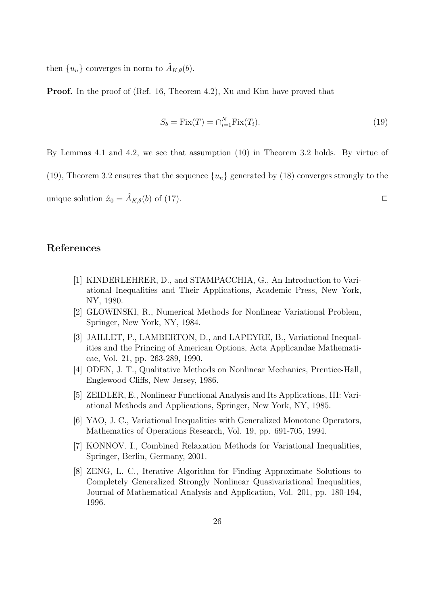then  $\{u_n\}$  converges in norm to  $\hat{A}_{K,\theta}(b)$ .

Proof. In the proof of (Ref. 16, Theorem 4.2), Xu and Kim have proved that

$$
S_b = \text{Fix}(T) = \bigcap_{i=1}^{N} \text{Fix}(T_i). \tag{19}
$$

By Lemmas 4.1 and 4.2, we see that assumption (10) in Theorem 3.2 holds. By virtue of

(19), Theorem 3.2 ensures that the sequence  $\{u_n\}$  generated by (18) converges strongly to the

unique solution  $\hat{x}_0 = \hat{A}_{K,\theta}(b)$  of (17).

## References

- [1] KINDERLEHRER, D., and STAMPACCHIA, G., An Introduction to Variational Inequalities and Their Applications, Academic Press, New York, NY, 1980.
- [2] GLOWINSKI, R., Numerical Methods for Nonlinear Variational Problem, Springer, New York, NY, 1984.
- [3] JAILLET, P., LAMBERTON, D., and LAPEYRE, B., Variational Inequalities and the Princing of American Options, Acta Applicandae Mathematicae, Vol. 21, pp. 263-289, 1990.
- [4] ODEN, J. T., Qualitative Methods on Nonlinear Mechanics, Prentice-Hall, Englewood Cliffs, New Jersey, 1986.
- [5] ZEIDLER, E., Nonlinear Functional Analysis and Its Applications, III: Variational Methods and Applications, Springer, New York, NY, 1985.
- [6] YAO, J. C., Variational Inequalities with Generalized Monotone Operators, Mathematics of Operations Research, Vol. 19, pp. 691-705, 1994.
- [7] KONNOV. I., Combined Relaxation Methods for Variational Inequalities, Springer, Berlin, Germany, 2001.
- [8] ZENG, L. C., Iterative Algorithm for Finding Approximate Solutions to Completely Generalized Strongly Nonlinear Quasivariational Inequalities, Journal of Mathematical Analysis and Application, Vol. 201, pp. 180-194, 1996.